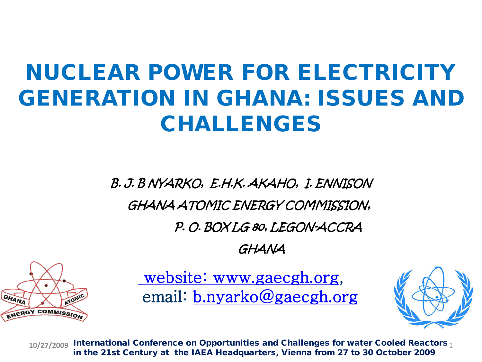#### NUCLEAR POWER FOR ELECTRICITY GENERATION IN GHANA: ISSUES AND CHALLENGES

B. J. B NYARKO, E.H.K. AKAHO, I. ENNISON GHANA ATOMIC ENERGY COMMISSION, P. O. BOX LG 80, LEGON-ACCRA

GHANA



[website: www.gaecgh.org,](http://www.gaecgh.org/) email: [b.nyarko@gaecgh.org](mailto:b.nyarko@gaecgh.org)



10/27/2009 International Conference on Opportunities and Challenges for water Cooled Reactors 1 in the 21st Century at the IAEA Headquarters, Vienna from 27 to 30 October 2009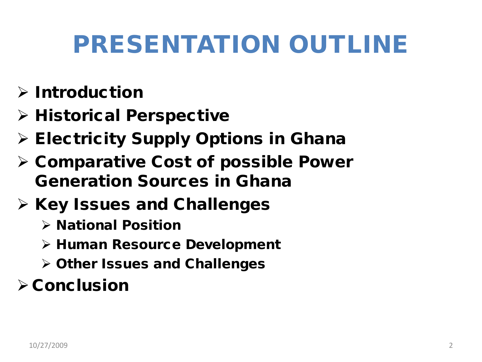## PRESENTATION OUTLINE

- $\triangleright$  Introduction
- $\triangleright$  Historical Perspective
- $\triangleright$  Electricity Supply Options in Ghana
- $\triangleright$  Comparative Cost of possible Power Generation Sources in Ghana
- $\triangleright$  Key Issues and Challenges
	- $\triangleright$  National Position
	- Human Resource Development
	- Other Issues and Challenges

#### $\triangleright$  Conclusion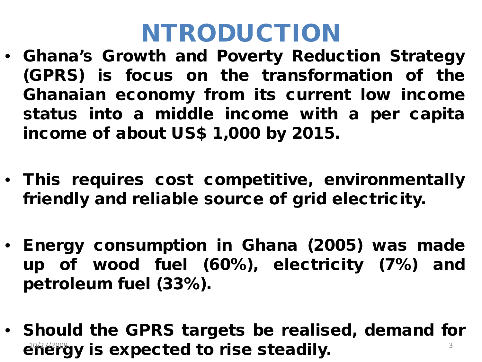### NTRODUCTION

- Ghana's Growth and Poverty Reduction Strategy (GPRS) is focus on the transformation of the Ghanaian economy from its current low income status into a middle income with a per capita income of about US\$ 1,000 by 2015.
- This requires cost competitive, environmentally friendly and reliable source of grid electricity.
- Energy consumption in Ghana (2005) was made up of wood fuel (60%), electricity (7%) and petroleum fuel (33%).
- Should the GPRS targets be realised, demand for energy is expected to rise steadily.  $10^{1/27/209}$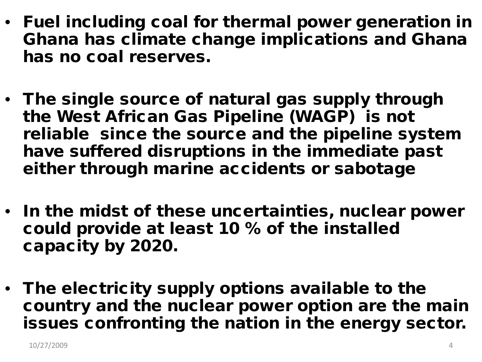- Fuel including coal for thermal power generation in Ghana has climate change implications and Ghana has no coal reserves.
- The single source of natural gas supply through the West African Gas Pipeline (WAGP) is not reliable since the source and the pipeline system have suffered disruptions in the immediate past either through marine accidents or sabotage
- In the midst of these uncertainties, nuclear power could provide at least 10 % of the installed capacity by 2020.
- The electricity supply options available to the country and the nuclear power option are the main issues confronting the nation in the energy sector.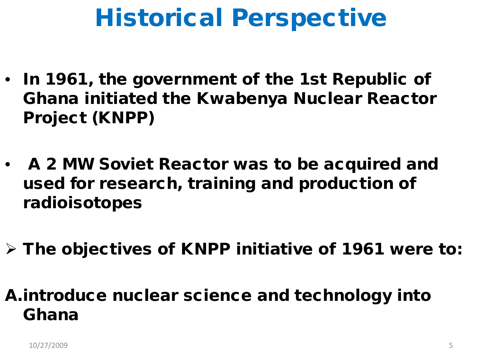### Historical Perspective

- In 1961, the government of the 1st Republic of Ghana initiated the Kwabenya Nuclear Reactor Project (KNPP)
- A 2 MW Soviet Reactor was to be acquired and used for research, training and production of radioisotopes
- $\triangleright$  The objectives of KNPP initiative of 1961 were to:

#### A.introduce nuclear science and technology into Ghana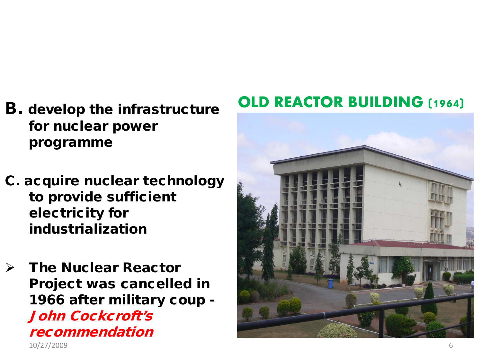- B. develop the infrastructure for nuclear power programme
- C. acquire nuclear technology to provide sufficient electricity for industrialization
- $\triangleright$  The Nuclear Reactor Project was cancelled in 1966 after military coup - John Cockcroft's recommendation 10/27/2009 6

#### **OLD REACTOR BUILDING (1964)**

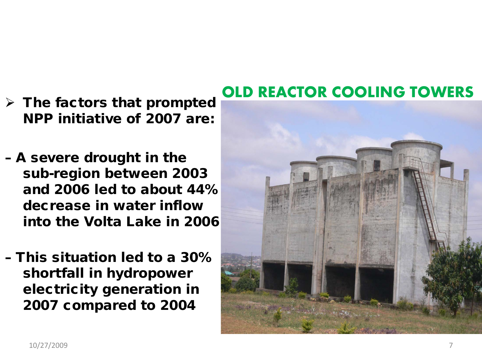- $\triangleright$  The factors that prompted NPP initiative of 2007 are:
- A severe drought in the sub-region between 2003 and 2006 led to about 44% decrease in water inflow into the Volta Lake in 2006
- This situation led to a 30% shortfall in hydropower electricity generation in 2007 compared to 2004

#### **OLD REACTOR COOLING TOWERS**

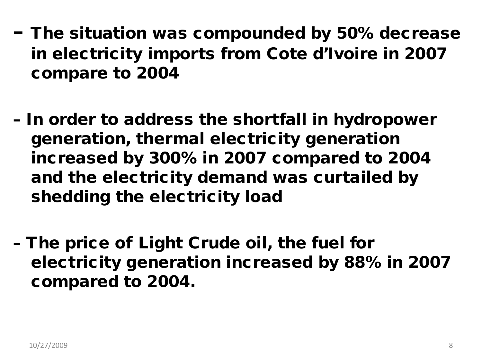- The situation was compounded by 50% decrease in electricity imports from Cote d'Ivoire in 2007 compare to 2004
- In order to address the shortfall in hydropower generation, thermal electricity generation increased by 300% in 2007 compared to 2004 and the electricity demand was curtailed by shedding the electricity load
- The price of Light Crude oil, the fuel for electricity generation increased by 88% in 2007 compared to 2004.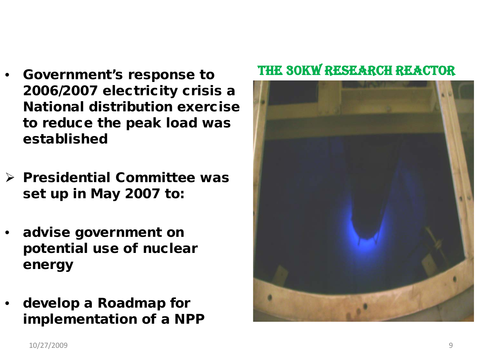- Government's response to 2006/2007 electricity crisis a National distribution exercise to reduce the peak load was established
- $\triangleright$  Presidential Committee was set up in May 2007 to:
- advise government on potential use of nuclear energy
- develop a Roadmap for implementation of a NPP

#### THE 30kW RESEARCH REACTOR

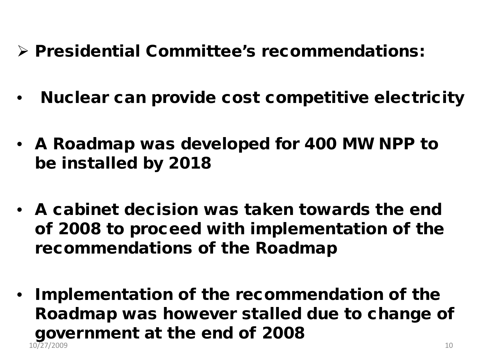- Presidential Committee's recommendations:
- Nuclear can provide cost competitive electricity
- A Roadmap was developed for 400 MW NPP to be installed by 2018
- A cabinet decision was taken towards the end of 2008 to proceed with implementation of the recommendations of the Roadmap
- Implementation of the recommendation of the Roadmap was however stalled due to change of government at the end of 2008 10/27/2009 10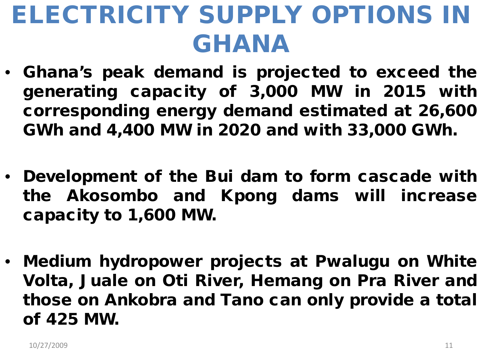## ELECTRICITY SUPPLY OPTIONS IN GHANA

- Ghana's peak demand is projected to exceed the generating capacity of 3,000 MW in 2015 with corresponding energy demand estimated at 26,600 GWh and 4,400 MW in 2020 and with 33,000 GWh.
- Development of the Bui dam to form cascade with the Akosombo and Kpong dams will increase capacity to 1,600 MW.
- Medium hydropower projects at Pwalugu on White Volta, Juale on Oti River, Hemang on Pra River and those on Ankobra and Tano can only provide a total of 425 MW.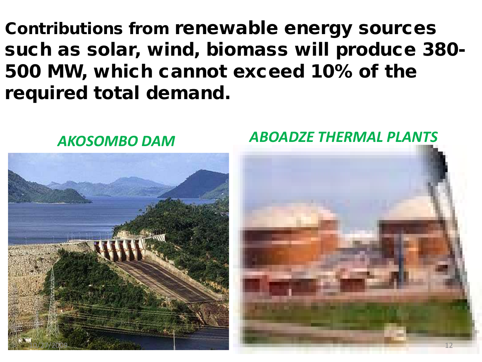Contributions from renewable energy sources such as solar, wind, biomass will produce 380- 500 MW, which cannot exceed 10% of the required total demand.



#### *AKOSOMBO DAM ABOADZE THERMAL PLANTS*

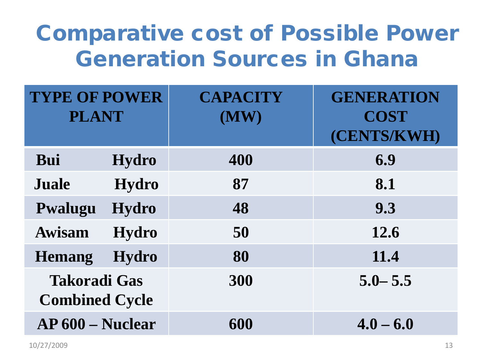#### Comparative cost of Possible Power Generation Sources in Ghana

| <b>TYPE OF POWER</b><br><b>PLANT</b>         |              | <b>CAPACITY</b><br>(MW) | <b>GENERATION</b><br><b>COST</b><br>(CENTS/KWH) |
|----------------------------------------------|--------------|-------------------------|-------------------------------------------------|
| Bui                                          | <b>Hydro</b> | 400                     | 6.9                                             |
| <b>Juale</b>                                 | <b>Hydro</b> | 87                      | 8.1                                             |
| Pwalugu                                      | <b>Hydro</b> | 48                      | 9.3                                             |
| <b>Awisam</b>                                | <b>Hydro</b> | 50                      | 12.6                                            |
| <b>Hemang</b>                                | <b>Hydro</b> | 80                      | 11.4                                            |
| <b>Takoradi Gas</b><br><b>Combined Cycle</b> |              | 300                     | $5.0 - 5.5$                                     |
| <b>AP 600 – Nuclear</b>                      |              | 600                     | $4.0 - 6.0$                                     |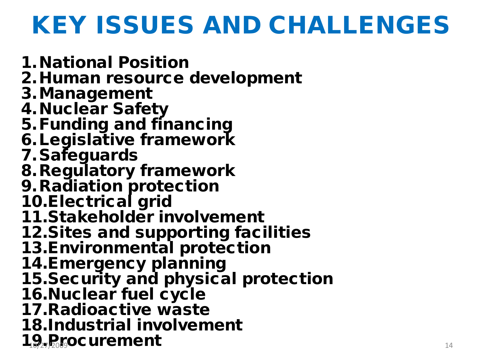## KEY ISSUES AND CHALLENGES

1.National Position 2.Human resource development 3.Management 4.Nuclear Safety 5.Funding and financing 6.Legislative framework 7.Safeguards 8.Regulatory framework 9.Radiation protection 10.Electrical grid 11.Stakeholder involvement 12.Sites and supporting facilities 13.Environmental protection 14.Emergency planning 15.Security and physical protection 16. Nuclear fuel cycle 17.Radioactive waste 18.Industrial involvement  $1\theta_{27}$ *R*<sub>19</sub>. 100 **Procurement** 14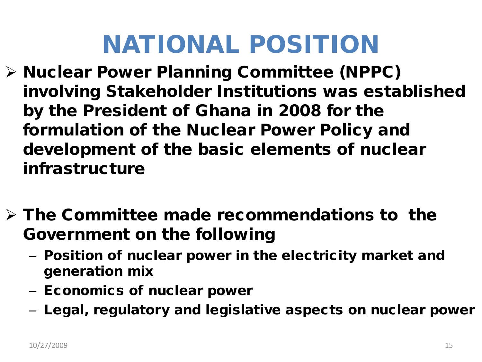## NATIONAL POSITION

- Nuclear Power Planning Committee (NPPC) involving Stakeholder Institutions was established by the President of Ghana in 2008 for the formulation of the Nuclear Power Policy and development of the basic elements of nuclear infrastructure
- $\triangleright$  The Committee made recommendations to the Government on the following
	- Position of nuclear power in the electricity market and generation mix
	- Economics of nuclear power
	- Legal, regulatory and legislative aspects on nuclear power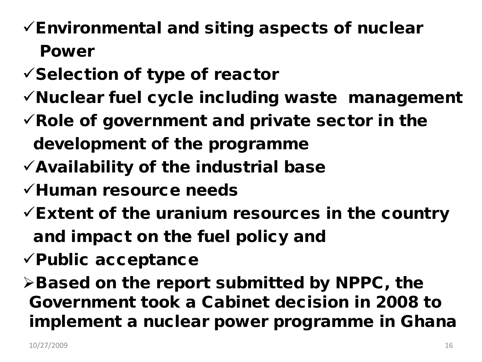#### $\checkmark$  Environmental and siting aspects of nuclear Power

- $\checkmark$  Selection of type of reactor
- $\checkmark$  Nuclear fuel cycle including waste management
- $\checkmark$  Role of government and private sector in the development of the programme
- $\checkmark$  Availability of the industrial base
- $\checkmark$ Human resource needs
- $\checkmark$  Extent of the uranium resources in the country and impact on the fuel policy and
- $\checkmark$  Public acceptance

 $\triangleright$  Based on the report submitted by NPPC, the Government took a Cabinet decision in 2008 to implement a nuclear power programme in Ghana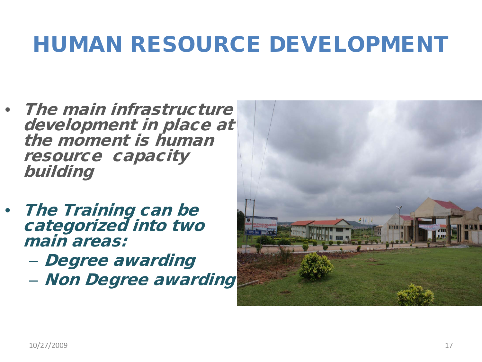#### HUMAN RESOURCE DEVELOPMENT

- The main infrastructure development in place at the moment is human resource capacity building
- **The Training can be** categorized into two main areas:
	- Degree awarding
	- Non Degree awarding

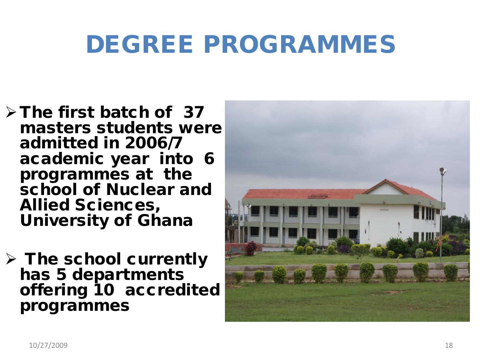### DEGREE PROGRAMMES

- $\triangleright$  The first batch of 37 masters students were admitted in 2006/7 academic year into 6 programmes at the school of Nuclear and Allied Sciences, University of Ghana
- $\triangleright$  The school currently has 5 departments offering 10 accredited programmes

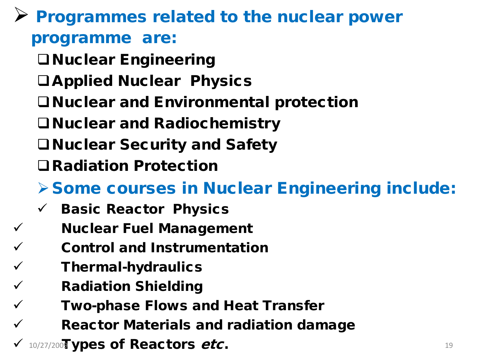#### $\triangleright$  Programmes related to the nuclear power programme are:

- Nuclear Engineering
- Applied Nuclear Physics
- Nuclear and Environmental protection
- Nuclear and Radiochemistry
- Nuclear Security and Safety
- Radiation Protection

#### Some courses in Nuclear Engineering include:

- $\checkmark$  Basic Reactor Physics
- $\checkmark$  Nuclear Fuel Management
	- Control and Instrumentation
	- Thermal-hydraulics
	- Radiation Shielding
	- Two-phase Flows and Heat Transfer
- Reactor Materials and radiation damage
- $10/27/200$  ypes of Reactors *etc*.  $19$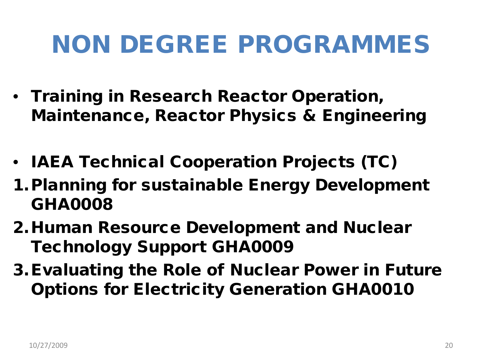## NON DEGREE PROGRAMMES

- Training in Research Reactor Operation, Maintenance, Reactor Physics & Engineering
- IAEA Technical Cooperation Projects (TC)
- 1.Planning for sustainable Energy Development GHA0008
- 2.Human Resource Development and Nuclear Technology Support GHA0009
- 3.Evaluating the Role of Nuclear Power in Future Options for Electricity Generation GHA0010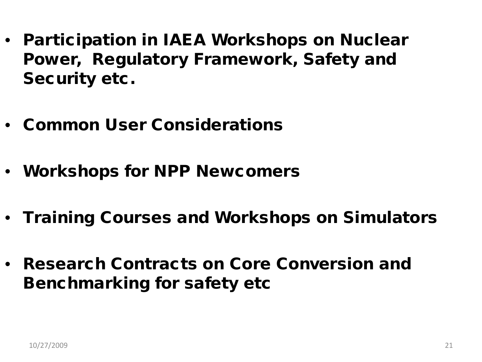- Participation in IAEA Workshops on Nuclear Power, Regulatory Framework, Safety and Security etc.
- Common User Considerations
- Workshops for NPP Newcomers
- Training Courses and Workshops on Simulators
- Research Contracts on Core Conversion and Benchmarking for safety etc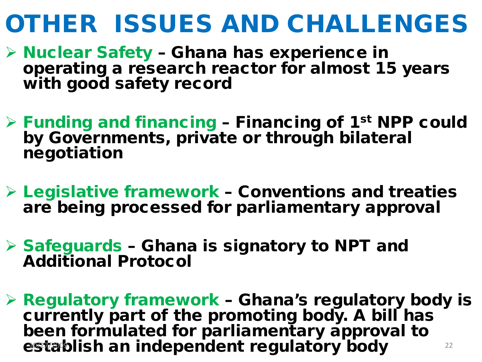### OTHER ISSUES AND CHALLENGES

- $\triangleright$  Nuclear Safety Ghana has experience in operating a research reactor for almost 15 years with good safety record
- $\triangleright$  Funding and financing Financing of 1<sup>st</sup> NPP could by Governments, private or through bilateral negotiation
- $\triangleright$  Legislative framework Conventions and treaties are being processed for parliamentary approval
- $\triangleright$  Safeguards Ghana is signatory to NPT and Additional Protocol
- Regulatory framework Ghana's regulatory body is currently part of the promoting body. A bill has been formulated for parliamentary approval to establish an independent regulatory body 22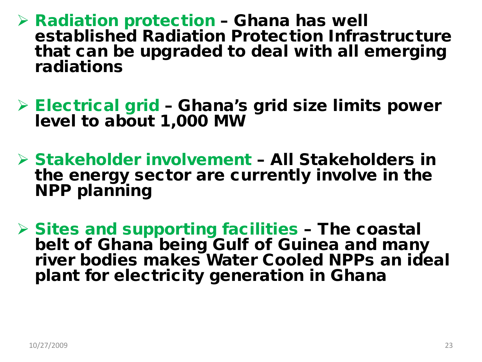- $\triangleright$  Radiation protection Ghana has well established Radiation Protection Infrastructure that can be upgraded to deal with all emerging radiations
- $\triangleright$  Electrical grid Ghana's grid size limits power level to about 1,000 MW
- Stakeholder involvement All Stakeholders in the energy sector are currently involve in the **NPP planning**
- $\triangleright$  Sites and supporting facilities The coastal belt of Ghana being Gulf of Guinea and many river bodies makes Water Cooled NPPs an ideal plant for electricity generation in Ghana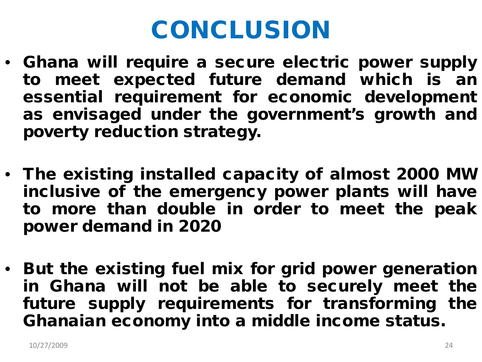## CONCLUSION

- Ghana will require a secure electric power supply to meet expected future demand which is an essential requirement for economic development as envisaged under the government's growth and poverty reduction strategy.
- The existing installed capacity of almost 2000 MW inclusive of the emergency power plants will have to more than double in order to meet the peak power demand in 2020
- But the existing fuel mix for grid power generation in Ghana will not be able to securely meet the future supply requirements for transforming the Ghanaian economy into a middle income status.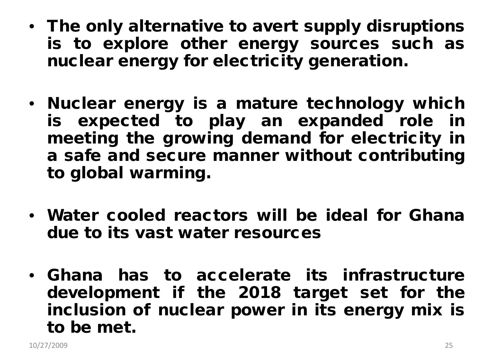- The only alternative to avert supply disruptions is to explore other energy sources such as nuclear energy for electricity generation.
- Nuclear energy is a mature technology which is expected to play an expanded role in meeting the growing demand for electricity in a safe and secure manner without contributing to global warming.
- Water cooled reactors will be ideal for Ghana due to its vast water resources
- Ghana has to accelerate its infrastructure development if the 2018 target set for the inclusion of nuclear power in its energy mix is to be met.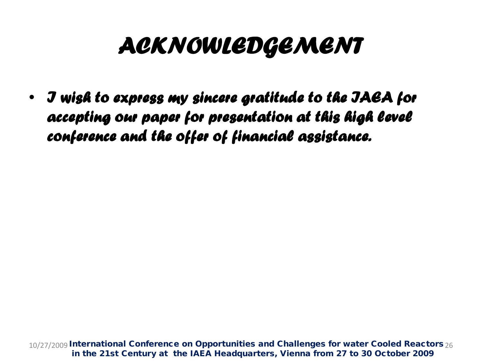#### *ACKNOWLEDGEMENT*

• *I wish to express my sincere gratitude to the IAEA for accepting our paper for presentation at this high level conference and the offer of financial assistance.*